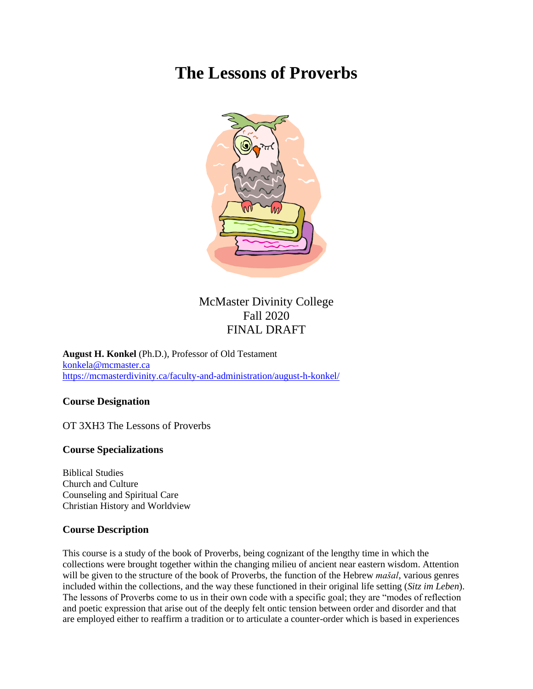# **The Lessons of Proverbs**



## McMaster Divinity College Fall 2020 FINAL DRAFT

**August H. Konkel** (Ph.D.), Professor of Old Testament [konkela@mcmaster.ca](mailto:konkela@mcmaster.ca) <https://mcmasterdivinity.ca/faculty-and-administration/august-h-konkel/>

## **Course Designation**

OT 3XH3 The Lessons of Proverbs

## **Course Specializations**

Biblical Studies Church and Culture Counseling and Spiritual Care Christian History and Worldview

## **Course Description**

This course is a study of the book of Proverbs, being cognizant of the lengthy time in which the collections were brought together within the changing milieu of ancient near eastern wisdom. Attention will be given to the structure of the book of Proverbs, the function of the Hebrew *mašal*, various genres included within the collections, and the way these functioned in their original life setting (*Sitz im Leben*). The lessons of Proverbs come to us in their own code with a specific goal; they are "modes of reflection and poetic expression that arise out of the deeply felt ontic tension between order and disorder and that are employed either to reaffirm a tradition or to articulate a counter-order which is based in experiences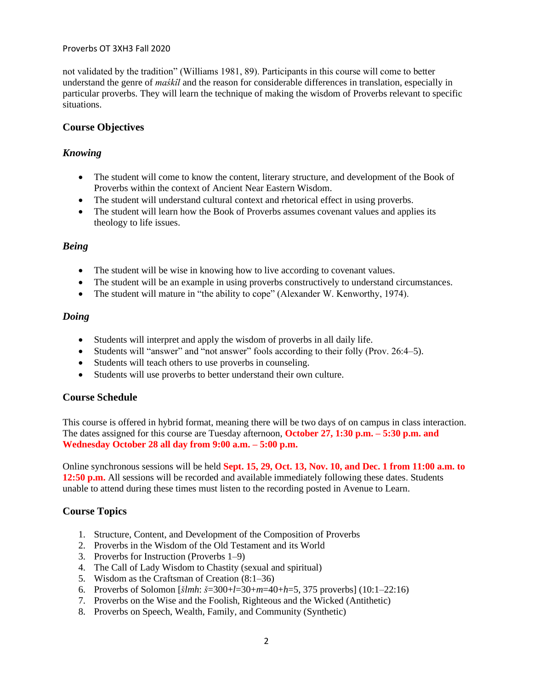not validated by the tradition" (Williams 1981, 89). Participants in this course will come to better understand the genre of *maśkîl* and the reason for considerable differences in translation, especially in particular proverbs. They will learn the technique of making the wisdom of Proverbs relevant to specific situations.

## **Course Objectives**

## *Knowing*

- The student will come to know the content, literary structure, and development of the Book of Proverbs within the context of Ancient Near Eastern Wisdom.
- The student will understand cultural context and rhetorical effect in using proverbs.
- The student will learn how the Book of Proverbs assumes covenant values and applies its theology to life issues.

## *Being*

- The student will be wise in knowing how to live according to covenant values.
- The student will be an example in using proverbs constructively to understand circumstances.
- The student will mature in "the ability to cope" (Alexander W. Kenworthy, 1974).

## *Doing*

- Students will interpret and apply the wisdom of proverbs in all daily life.
- Students will "answer" and "not answer" fools according to their folly (Prov. 26:4–5).
- Students will teach others to use proverbs in counseling.
- Students will use proverbs to better understand their own culture.

## **Course Schedule**

This course is offered in hybrid format, meaning there will be two days of on campus in class interaction. The dates assigned for this course are Tuesday afternoon, **October 27, 1:30 p.m. – 5:30 p.m. and Wednesday October 28 all day from 9:00 a.m. – 5:00 p.m.**

Online synchronous sessions will be held **Sept. 15, 29, Oct. 13, Nov. 10, and Dec. 1 from 11:00 a.m. to 12:50 p.m.** All sessions will be recorded and available immediately following these dates. Students unable to attend during these times must listen to the recording posted in Avenue to Learn.

## **Course Topics**

- 1. Structure, Content, and Development of the Composition of Proverbs
- 2. Proverbs in the Wisdom of the Old Testament and its World
- 3. Proverbs for Instruction (Proverbs 1–9)
- 4. The Call of Lady Wisdom to Chastity (sexual and spiritual)
- 5. Wisdom as the Craftsman of Creation (8:1–36)
- 6. Proverbs of Solomon [*šlmh*: *š*=300+*l*=30+*m*=40+*h*=5, 375 proverbs] (10:1–22:16)
- 7. Proverbs on the Wise and the Foolish, Righteous and the Wicked (Antithetic)
- 8. Proverbs on Speech, Wealth, Family, and Community (Synthetic)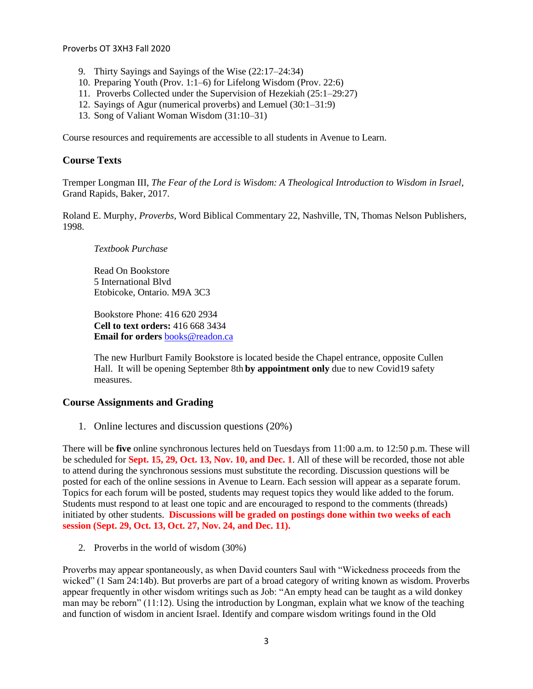- 9. Thirty Sayings and Sayings of the Wise (22:17–24:34)
- 10. Preparing Youth (Prov. 1:1–6) for Lifelong Wisdom (Prov. 22:6)
- 11. Proverbs Collected under the Supervision of Hezekiah (25:1–29:27)
- 12. Sayings of Agur (numerical proverbs) and Lemuel (30:1–31:9)
- 13. Song of Valiant Woman Wisdom (31:10–31)

Course resources and requirements are accessible to all students in Avenue to Learn.

## **Course Texts**

Tremper Longman III, *The Fear of the Lord is Wisdom: A Theological Introduction to Wisdom in Israel*, Grand Rapids, Baker, 2017.

Roland E. Murphy, *Proverbs,* Word Biblical Commentary 22, Nashville, TN, Thomas Nelson Publishers, 1998.

## *Textbook Purchase*

Read On Bookstore 5 International Blvd Etobicoke, Ontario. M9A 3C3

Bookstore Phone: 416 620 2934 **Cell to text orders:** 416 668 3434 **Email for orders** [books@readon.ca](mailto:books@readon.ca)

The new Hurlburt Family Bookstore is located beside the Chapel entrance, opposite Cullen Hall. It will be opening September 8th **by appointment only** due to new Covid19 safety measures.

## **Course Assignments and Grading**

1. Online lectures and discussion questions (20%)

There will be **five** online synchronous lectures held on Tuesdays from 11:00 a.m. to 12:50 p.m. These will be scheduled for **Sept. 15, 29, Oct. 13, Nov. 10, and Dec. 1**. All of these will be recorded, those not able to attend during the synchronous sessions must substitute the recording. Discussion questions will be posted for each of the online sessions in Avenue to Learn. Each session will appear as a separate forum. Topics for each forum will be posted, students may request topics they would like added to the forum. Students must respond to at least one topic and are encouraged to respond to the comments (threads) initiated by other students. **Discussions will be graded on postings done within two weeks of each session (Sept. 29, Oct. 13, Oct. 27, Nov. 24, and Dec. 11).**

2. Proverbs in the world of wisdom (30%)

Proverbs may appear spontaneously, as when David counters Saul with "Wickedness proceeds from the wicked" (1 Sam 24:14b). But proverbs are part of a broad category of writing known as wisdom. Proverbs appear frequently in other wisdom writings such as Job: "An empty head can be taught as a wild donkey man may be reborn" (11:12). Using the introduction by Longman, explain what we know of the teaching and function of wisdom in ancient Israel. Identify and compare wisdom writings found in the Old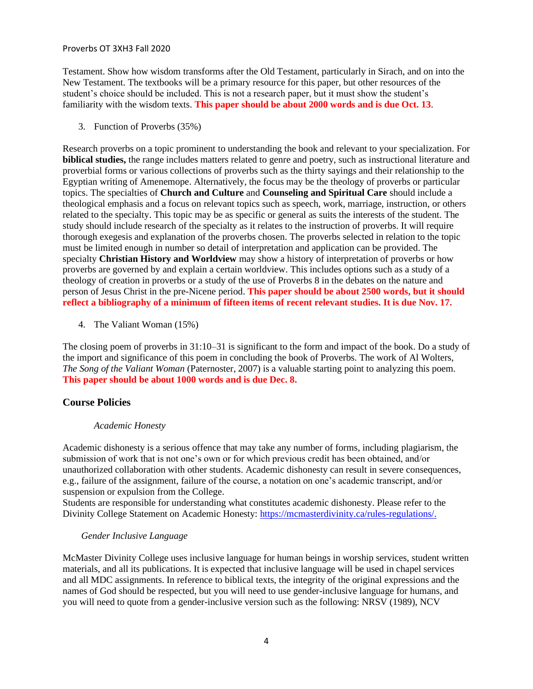Testament. Show how wisdom transforms after the Old Testament, particularly in Sirach, and on into the New Testament. The textbooks will be a primary resource for this paper, but other resources of the student's choice should be included. This is not a research paper, but it must show the student's familiarity with the wisdom texts. **This paper should be about 2000 words and is due Oct. 13**.

3. Function of Proverbs (35%)

Research proverbs on a topic prominent to understanding the book and relevant to your specialization. For **biblical studies,** the range includes matters related to genre and poetry, such as instructional literature and proverbial forms or various collections of proverbs such as the thirty sayings and their relationship to the Egyptian writing of Amenemope. Alternatively, the focus may be the theology of proverbs or particular topics. The specialties of **Church and Culture** and **Counseling and Spiritual Care** should include a theological emphasis and a focus on relevant topics such as speech, work, marriage, instruction, or others related to the specialty. This topic may be as specific or general as suits the interests of the student. The study should include research of the specialty as it relates to the instruction of proverbs. It will require thorough exegesis and explanation of the proverbs chosen. The proverbs selected in relation to the topic must be limited enough in number so detail of interpretation and application can be provided. The specialty **Christian History and Worldview** may show a history of interpretation of proverbs or how proverbs are governed by and explain a certain worldview. This includes options such as a study of a theology of creation in proverbs or a study of the use of Proverbs 8 in the debates on the nature and person of Jesus Christ in the pre-Nicene period. **This paper should be about 2500 words, but it should reflect a bibliography of a minimum of fifteen items of recent relevant studies. It is due Nov. 17.**

4. The Valiant Woman (15%)

The closing poem of proverbs in 31:10–31 is significant to the form and impact of the book. Do a study of the import and significance of this poem in concluding the book of Proverbs. The work of Al Wolters, *The Song of the Valiant Woman* (Paternoster, 2007) is a valuable starting point to analyzing this poem. **This paper should be about 1000 words and is due Dec. 8.**

## **Course Policies**

## *Academic Honesty*

Academic dishonesty is a serious offence that may take any number of forms, including plagiarism, the submission of work that is not one's own or for which previous credit has been obtained, and/or unauthorized collaboration with other students. Academic dishonesty can result in severe consequences, e.g., failure of the assignment, failure of the course, a notation on one's academic transcript, and/or suspension or expulsion from the College.

Students are responsible for understanding what constitutes academic dishonesty. Please refer to the Divinity College Statement on Academic Honesty: [https://mcmasterdivinity.ca/rules-regulations/.](https://mcmasterdivinity.ca/rules-regulations/)

## *Gender Inclusive Language*

McMaster Divinity College uses inclusive language for human beings in worship services, student written materials, and all its publications. It is expected that inclusive language will be used in chapel services and all MDC assignments. In reference to biblical texts, the integrity of the original expressions and the names of God should be respected, but you will need to use gender-inclusive language for humans, and you will need to quote from a gender-inclusive version such as the following: NRSV (1989), NCV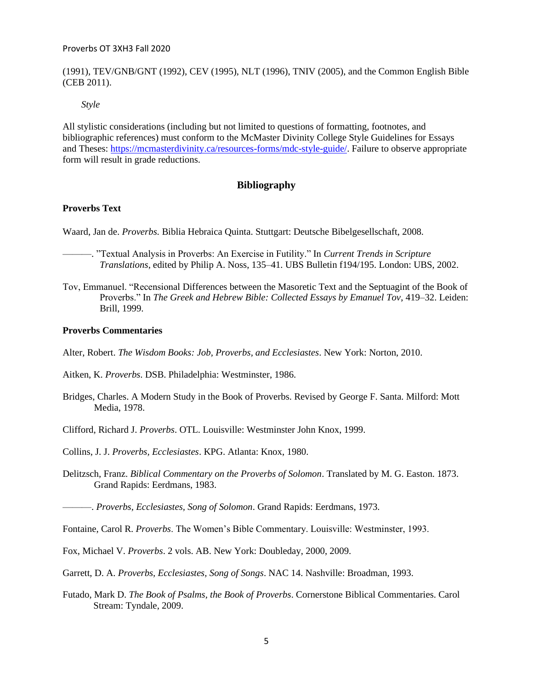#### (1991), TEV/GNB/GNT (1992), CEV (1995), NLT (1996), TNIV (2005), and the Common English Bible (CEB 2011).

*Style*

All stylistic considerations (including but not limited to questions of formatting, footnotes, and bibliographic references) must conform to the McMaster Divinity College Style Guidelines for Essays and Theses: [https://mcmasterdivinity.ca/resources-forms/mdc-style-guide/.](https://mcmasterdivinity.ca/resources-forms/mdc-style-guide/) Failure to observe appropriate form will result in grade reductions.

#### **Bibliography**

#### **Proverbs Text**

Waard, Jan de. *Proverbs.* Biblia Hebraica Quinta. Stuttgart: Deutsche Bibelgesellschaft, 2008.

- ———. "Textual Analysis in Proverbs: An Exercise in Futility." In *Current Trends in Scripture Translations*, edited by Philip A. Noss, 135–41. UBS Bulletin f194/195. London: UBS, 2002.
- Tov, Emmanuel. "Recensional Differences between the Masoretic Text and the Septuagint of the Book of Proverbs." In *The Greek and Hebrew Bible: Collected Essays by Emanuel Tov*, 419–32. Leiden: Brill, 1999.

#### **Proverbs Commentaries**

Alter, Robert. *The Wisdom Books: Job, Proverbs, and Ecclesiastes*. New York: Norton, 2010.

- Aitken, K. *Proverbs*. DSB. Philadelphia: Westminster, 1986.
- Bridges, Charles. A Modern Study in the Book of Proverbs. Revised by George F. Santa. Milford: Mott Media, 1978.
- Clifford, Richard J. *Proverbs*. OTL. Louisville: Westminster John Knox, 1999.

Collins, J. J. *Proverbs, Ecclesiastes*. KPG. Atlanta: Knox, 1980.

Delitzsch, Franz. *Biblical Commentary on the Proverbs of Solomon*. Translated by M. G. Easton. 1873. Grand Rapids: Eerdmans, 1983.

———. *Proverbs, Ecclesiastes, Song of Solomon*. Grand Rapids: Eerdmans, 1973.

Fontaine, Carol R. *Proverbs*. The Women's Bible Commentary. Louisville: Westminster, 1993.

- Fox, Michael V. *Proverbs*. 2 vols. AB. New York: Doubleday, 2000, 2009.
- Garrett, D. A. *Proverbs, Ecclesiastes, Song of Songs*. NAC 14. Nashville: Broadman, 1993.
- Futado, Mark D. *The Book of Psalms, the Book of Proverbs*. Cornerstone Biblical Commentaries. Carol Stream: Tyndale, 2009.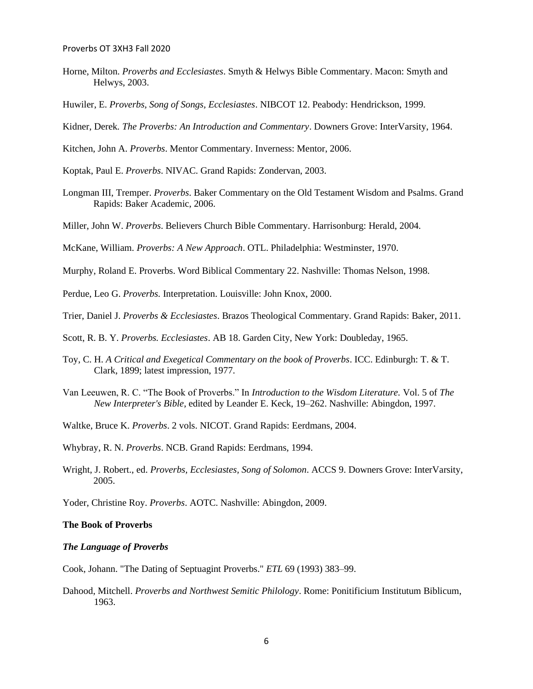- Horne, Milton. *Proverbs and Ecclesiastes*. Smyth & Helwys Bible Commentary. Macon: Smyth and Helwys, 2003.
- Huwiler, E. *Proverbs, Song of Songs, Ecclesiastes*. NIBCOT 12. Peabody: Hendrickson, 1999.
- Kidner, Derek*. The Proverbs: An Introduction and Commentary*. Downers Grove: InterVarsity, 1964.
- Kitchen, John A. *Proverbs*. Mentor Commentary. Inverness: Mentor, 2006.
- Koptak, Paul E. *Proverbs*. NIVAC. Grand Rapids: Zondervan, 2003.
- Longman III, Tremper. *Proverbs*. Baker Commentary on the Old Testament Wisdom and Psalms. Grand Rapids: Baker Academic, 2006.
- Miller, John W. *Proverbs*. Believers Church Bible Commentary. Harrisonburg: Herald, 2004.

McKane, William. *Proverbs: A New Approach*. OTL. Philadelphia: Westminster, 1970.

- Murphy, Roland E. Proverbs. Word Biblical Commentary 22. Nashville: Thomas Nelson, 1998.
- Perdue, Leo G. *Proverbs.* Interpretation. Louisville: John Knox, 2000.

Trier, Daniel J. *Proverbs & Ecclesiastes*. Brazos Theological Commentary. Grand Rapids: Baker, 2011.

Scott, R. B. Y. *Proverbs. Ecclesiastes*. AB 18. Garden City, New York: Doubleday, 1965.

- Toy, C. H. *A Critical and Exegetical Commentary on the book of Proverbs*. ICC. Edinburgh: T. & T. Clark, 1899; latest impression, 1977.
- Van Leeuwen, R. C. "The Book of Proverbs." In *Introduction to the Wisdom Literature.* Vol. 5 of *The New Interpreter's Bible*, edited by Leander E. Keck, 19–262. Nashville: Abingdon, 1997.
- Waltke, Bruce K. *Proverbs*. 2 vols. NICOT. Grand Rapids: Eerdmans, 2004.
- Whybray, R. N. *Proverbs*. NCB. Grand Rapids: Eerdmans, 1994.
- Wright, J. Robert., ed. *Proverbs, Ecclesiastes, Song of Solomon*. ACCS 9. Downers Grove: InterVarsity, 2005.

Yoder, Christine Roy. *Proverbs*. AOTC. Nashville: Abingdon, 2009.

#### **The Book of Proverbs**

#### *The Language of Proverbs*

Cook, Johann. "The Dating of Septuagint Proverbs." *ETL* 69 (1993) 383–99.

Dahood, Mitchell. *Proverbs and Northwest Semitic Philology*. Rome: Ponitificium Institutum Biblicum, 1963.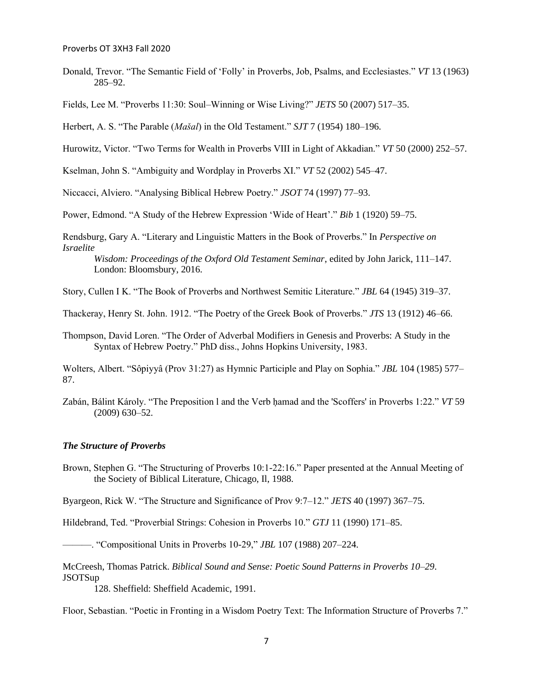Donald, Trevor. "The Semantic Field of 'Folly' in Proverbs, Job, Psalms, and Ecclesiastes." *VT* 13 (1963) 285–92.

Fields, Lee M. "Proverbs 11:30: Soul–Winning or Wise Living?" *JETS* 50 (2007) 517–35.

Herbert, A. S. "The Parable (*Mašal*) in the Old Testament." *SJT* 7 (1954) 180–196.

Hurowitz, Victor. "Two Terms for Wealth in Proverbs VIII in Light of Akkadian." *VT* 50 (2000) 252–57.

Kselman, John S. "Ambiguity and Wordplay in Proverbs XI." *VT* 52 (2002) 545–47.

Niccacci, Alviero. "Analysing Biblical Hebrew Poetry." *JSOT* 74 (1997) 77–93.

Power, Edmond. "A Study of the Hebrew Expression 'Wide of Heart'." *Bib* 1 (1920) 59–75.

Rendsburg, Gary A. "Literary and Linguistic Matters in the Book of Proverbs." In *Perspective on Israelite* 

*Wisdom: Proceedings of the Oxford Old Testament Seminar*, edited by John Jarick, 111–147. London: Bloomsbury, 2016.

Story, Cullen I K. "The Book of Proverbs and Northwest Semitic Literature." *JBL* 64 (1945) 319–37.

Thackeray, Henry St. John. 1912. "The Poetry of the Greek Book of Proverbs." *JTS* 13 (1912) 46–66.

Thompson, David Loren. "The Order of Adverbal Modifiers in Genesis and Proverbs: A Study in the Syntax of Hebrew Poetry." PhD diss., Johns Hopkins University, 1983.

Wolters, Albert. "Sôpiyyâ (Prov 31:27) as Hymnic Participle and Play on Sophia." *JBL* 104 (1985) 577– 87.

Zabán, Bálint Károly. "The Preposition l and the Verb ḥamad and the 'Scoffers' in Proverbs 1:22." *VT* 59 (2009) 630–52.

#### *The Structure of Proverbs*

Brown, Stephen G. "The Structuring of Proverbs 10:1-22:16." Paper presented at the Annual Meeting of the Society of Biblical Literature, Chicago, Il, 1988.

Byargeon, Rick W. "The Structure and Significance of Prov 9:7–12." *JETS* 40 (1997) 367–75.

Hildebrand, Ted. "Proverbial Strings: Cohesion in Proverbs 10." *GTJ* 11 (1990) 171–85.

———. "Compositional Units in Proverbs 10-29," *JBL* 107 (1988) 207–224.

McCreesh, Thomas Patrick. *Biblical Sound and Sense: Poetic Sound Patterns in Proverbs 10–29*. **JSOTSup** 

128. Sheffield: Sheffield Academic, 1991.

Floor, Sebastian. "Poetic in Fronting in a Wisdom Poetry Text: The Information Structure of Proverbs 7."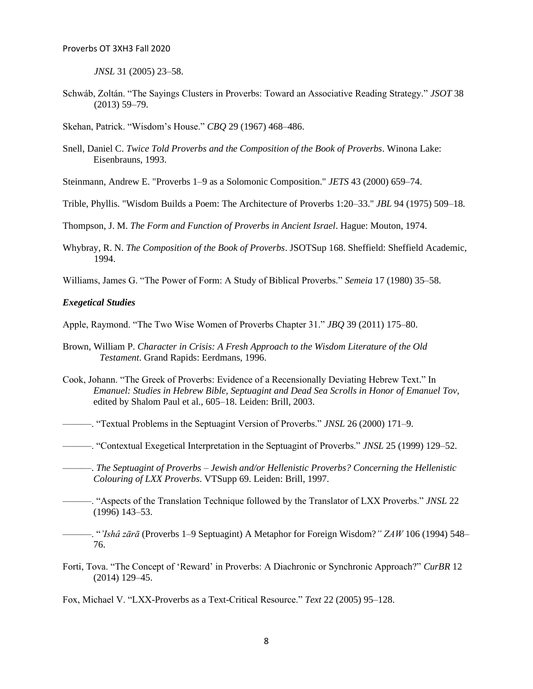*JNSL* 31 (2005) 23–58.

Schwáb, Zoltán. "The Sayings Clusters in Proverbs: Toward an Associative Reading Strategy." *JSOT* 38 (2013) 59–79.

Skehan, Patrick. "Wisdom's House." *CBQ* 29 (1967) 468–486.

Snell, Daniel C. *Twice Told Proverbs and the Composition of the Book of Proverbs*. Winona Lake: Eisenbrauns, 1993.

Steinmann, Andrew E. "Proverbs 1–9 as a Solomonic Composition." *JETS* 43 (2000) 659–74.

Trible, Phyllis. "Wisdom Builds a Poem: The Architecture of Proverbs 1:20–33." *JBL* 94 (1975) 509–18.

Thompson, J. M. *The Form and Function of Proverbs in Ancient Israel*. Hague: Mouton, 1974.

Whybray, R. N. *The Composition of the Book of Proverbs*. JSOTSup 168. Sheffield: Sheffield Academic, 1994.

Williams, James G. "The Power of Form: A Study of Biblical Proverbs." *Semeia* 17 (1980) 35–58.

#### *Exegetical Studies*

Apple, Raymond. "The Two Wise Women of Proverbs Chapter 31." *JBQ* 39 (2011) 175–80.

- Brown, William P. *Character in Crisis: A Fresh Approach to the Wisdom Literature of the Old Testament*. Grand Rapids: Eerdmans, 1996.
- Cook, Johann. "The Greek of Proverbs: Evidence of a Recensionally Deviating Hebrew Text." In *Emanuel: Studies in Hebrew Bible, Septuagint and Dead Sea Scrolls in Honor of Emanuel Tov*, edited by Shalom Paul et al., 605–18. Leiden: Brill, 2003.
- ———. "Textual Problems in the Septuagint Version of Proverbs." *JNSL* 26 (2000) 171–9.
- ———. "Contextual Exegetical Interpretation in the Septuagint of Proverbs." *JNSL* 25 (1999) 129–52.

———. *The Septuagint of Proverbs – Jewish and/or Hellenistic Proverbs? Concerning the Hellenistic Colouring of LXX Proverbs*. VTSupp 69. Leiden: Brill, 1997.

- ———. "Aspects of the Translation Technique followed by the Translator of LXX Proverbs." *JNSL* 22 (1996) 143–53.
- ———. "*'Ishâ zārā* (Proverbs 1–9 Septuagint) A Metaphor for Foreign Wisdom?*" ZAW* 106 (1994) 548– 76.
- Forti, Tova. "The Concept of 'Reward' in Proverbs: A Diachronic or Synchronic Approach?" *CurBR* 12 (2014) 129–45.

Fox, Michael V. "LXX-Proverbs as a Text-Critical Resource." *Text* 22 (2005) 95–128.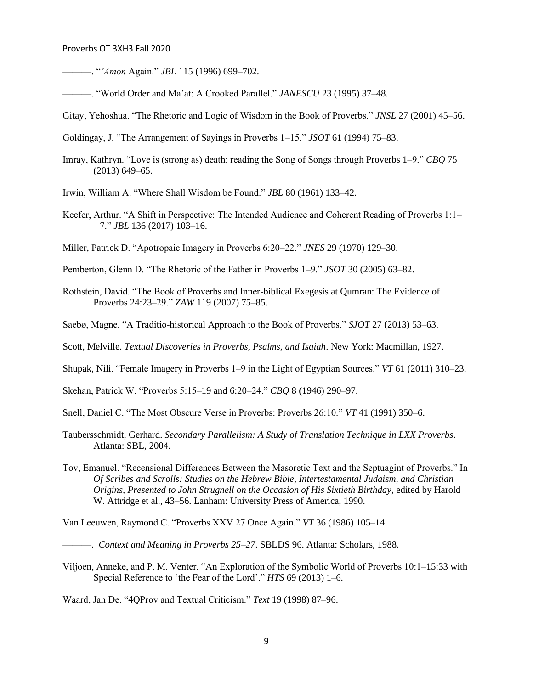- ———. "*'Amon* Again." *JBL* 115 (1996) 699–702.
- ———. "World Order and Ma'at: A Crooked Parallel." *JANESCU* 23 (1995) 37–48.
- Gitay, Yehoshua. "The Rhetoric and Logic of Wisdom in the Book of Proverbs." *JNSL* 27 (2001) 45–56.
- Goldingay, J. "The Arrangement of Sayings in Proverbs 1–15." *JSOT* 61 (1994) 75–83.
- Imray, Kathryn. "Love is (strong as) death: reading the Song of Songs through Proverbs 1–9." *CBQ* 75 (2013) 649–65.
- Irwin, William A. "Where Shall Wisdom be Found." *JBL* 80 (1961) 133–42.
- Keefer, Arthur. "A Shift in Perspective: The Intended Audience and Coherent Reading of Proverbs 1:1– 7." *JBL* 136 (2017) 103–16.
- Miller, Patrick D. "Apotropaic Imagery in Proverbs 6:20–22." *JNES* 29 (1970) 129–30.
- Pemberton, Glenn D. "The Rhetoric of the Father in Proverbs 1–9." *JSOT* 30 (2005) 63–82.
- Rothstein, David. "The Book of Proverbs and Inner-biblical Exegesis at Qumran: The Evidence of Proverbs 24:23–29." *ZAW* 119 (2007) 75–85.
- Saebø, Magne. "A Traditio-historical Approach to the Book of Proverbs." *SJOT* 27 (2013) 53–63.
- Scott, Melville. *Textual Discoveries in Proverbs, Psalms, and Isaiah*. New York: Macmillan, 1927.
- Shupak, Nili. "Female Imagery in Proverbs 1–9 in the Light of Egyptian Sources." *VT* 61 (2011) 310–23.
- Skehan, Patrick W. "Proverbs 5:15–19 and 6:20–24." *CBQ* 8 (1946) 290–97.
- Snell, Daniel C. "The Most Obscure Verse in Proverbs: Proverbs 26:10." *VT* 41 (1991) 350–6.
- Taubersschmidt, Gerhard. *Secondary Parallelism: A Study of Translation Technique in LXX Proverbs*. Atlanta: SBL, 2004.
- Tov, Emanuel. "Recensional Differences Between the Masoretic Text and the Septuagint of Proverbs." In *Of Scribes and Scrolls: Studies on the Hebrew Bible, Intertestamental Judaism, and Christian Origins, Presented to John Strugnell on the Occasion of His Sixtieth Birthday*, edited by Harold W. Attridge et al., 43–56. Lanham: University Press of America, 1990.

Van Leeuwen, Raymond C. "Proverbs XXV 27 Once Again." *VT* 36 (1986) 105–14.

- ———. *Context and Meaning in Proverbs 25–27*. SBLDS 96. Atlanta: Scholars, 1988.
- Viljoen, Anneke, and P. M. Venter. "An Exploration of the Symbolic World of Proverbs 10:1–15:33 with Special Reference to 'the Fear of the Lord'." *HTS* 69 (2013) 1–6.

Waard, Jan De. "4QProv and Textual Criticism." *Text* 19 (1998) 87–96.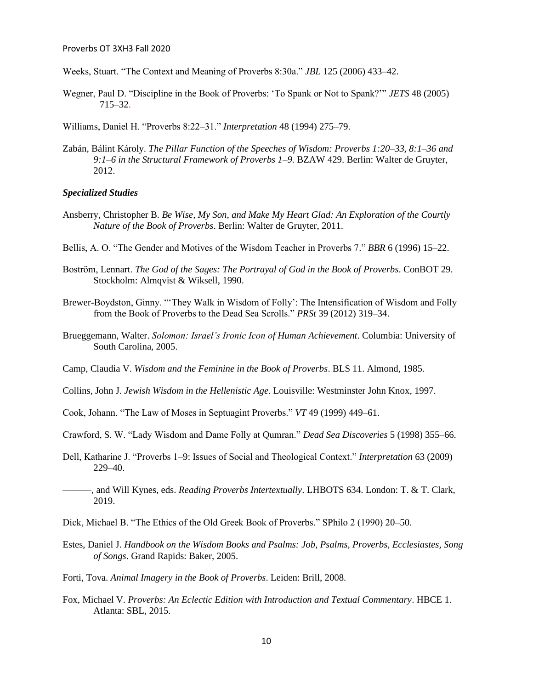Weeks, Stuart. "The Context and Meaning of Proverbs 8:30a." *JBL* 125 (2006) 433–42.

Wegner, Paul D. "Discipline in the Book of Proverbs: 'To Spank or Not to Spank?'" *JETS* 48 (2005) 715–32.

Williams, Daniel H. "Proverbs 8:22–31." *Interpretation* 48 (1994) 275–79.

Zabán, Bálint Károly. *The Pillar Function of the Speeches of Wisdom: Proverbs 1:20–33, 8:1–36 and 9:1–6 in the Structural Framework of Proverbs 1–9.* BZAW 429. Berlin: Walter de Gruyter, 2012.

#### *Specialized Studies*

- Ansberry, Christopher B. *Be Wise, My Son, and Make My Heart Glad: An Exploration of the Courtly Nature of the Book of Proverbs*. Berlin: Walter de Gruyter, 2011.
- Bellis, A. O. "The Gender and Motives of the Wisdom Teacher in Proverbs 7." *BBR* 6 (1996) 15–22.
- Bostrӧm, Lennart. *The God of the Sages: The Portrayal of God in the Book of Proverbs*. ConBOT 29. Stockholm: Almqvist & Wiksell, 1990.
- Brewer-Boydston, Ginny. "'They Walk in Wisdom of Folly': The Intensification of Wisdom and Folly from the Book of Proverbs to the Dead Sea Scrolls." *PRSt* 39 (2012) 319–34.
- Brueggemann, Walter. *Solomon: Israel's Ironic Icon of Human Achievement*. Columbia: University of South Carolina, 2005.
- Camp, Claudia V. *Wisdom and the Feminine in the Book of Proverbs*. BLS 11. Almond, 1985.
- Collins, John J. *Jewish Wisdom in the Hellenistic Age*. Louisville: Westminster John Knox, 1997.
- Cook, Johann. "The Law of Moses in Septuagint Proverbs." *VT* 49 (1999) 449–61.
- Crawford, S. W. "Lady Wisdom and Dame Folly at Qumran." *Dead Sea Discoveries* 5 (1998) 355–66.
- Dell, Katharine J. "Proverbs 1–9: Issues of Social and Theological Context." *Interpretation* 63 (2009) 229–40.
- ———, and Will Kynes, eds. *Reading Proverbs Intertextually*. LHBOTS 634. London: T. & T. Clark, 2019.
- Dick, Michael B. "The Ethics of the Old Greek Book of Proverbs." SPhilo 2 (1990) 20–50.
- Estes, Daniel J. *Handbook on the Wisdom Books and Psalms: Job, Psalms, Proverbs, Ecclesiastes, Song of Songs*. Grand Rapids: Baker, 2005.
- Forti, Tova. *Animal Imagery in the Book of Proverbs*. Leiden: Brill, 2008.
- Fox, Michael V. *Proverbs: An Eclectic Edition with Introduction and Textual Commentary*. HBCE 1. Atlanta: SBL, 2015.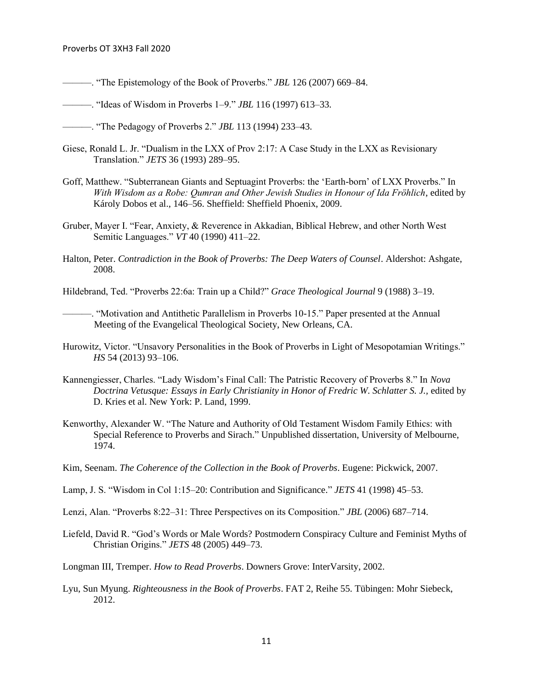- ———. "The Epistemology of the Book of Proverbs." *JBL* 126 (2007) 669–84.
- ———. "Ideas of Wisdom in Proverbs 1–9." *JBL* 116 (1997) 613–33.
- ———. "The Pedagogy of Proverbs 2." *JBL* 113 (1994) 233–43.
- Giese, Ronald L. Jr. "Dualism in the LXX of Prov 2:17: A Case Study in the LXX as Revisionary Translation." *JETS* 36 (1993) 289–95.
- Goff, Matthew. "Subterranean Giants and Septuagint Proverbs: the 'Earth-born' of LXX Proverbs." In *With Wisdom as a Robe: Qumran and Other Jewish Studies in Honour of Ida Frӧhlich*, edited by Károly Dobos et al., 146–56. Sheffield: Sheffield Phoenix, 2009.
- Gruber, Mayer I. "Fear, Anxiety, & Reverence in Akkadian, Biblical Hebrew, and other North West Semitic Languages." *VT* 40 (1990) 411–22.
- Halton, Peter. *Contradiction in the Book of Proverbs: The Deep Waters of Counsel*. Aldershot: Ashgate, 2008.
- Hildebrand, Ted. "Proverbs 22:6a: Train up a Child?" *Grace Theological Journal* 9 (1988) 3–19.

———. "Motivation and Antithetic Parallelism in Proverbs 10-15." Paper presented at the Annual Meeting of the Evangelical Theological Society, New Orleans, CA.

- Hurowitz, Victor. "Unsavory Personalities in the Book of Proverbs in Light of Mesopotamian Writings." *HS* 54 (2013) 93–106.
- Kannengiesser, Charles. "Lady Wisdom's Final Call: The Patristic Recovery of Proverbs 8." In *Nova Doctrina Vetusque: Essays in Early Christianity in Honor of Fredric W. Schlatter S. J.,* edited by D. Kries et al. New York: P. Land, 1999.
- Kenworthy, Alexander W. "The Nature and Authority of Old Testament Wisdom Family Ethics: with Special Reference to Proverbs and Sirach." Unpublished dissertation, University of Melbourne, 1974.
- Kim, Seenam. *The Coherence of the Collection in the Book of Proverbs*. Eugene: Pickwick, 2007.
- Lamp, J. S. "Wisdom in Col 1:15–20: Contribution and Significance." *JETS* 41 (1998) 45–53.
- Lenzi, Alan. "Proverbs 8:22–31: Three Perspectives on its Composition." *JBL* (2006) 687–714.
- Liefeld, David R. "God's Words or Male Words? Postmodern Conspiracy Culture and Feminist Myths of Christian Origins." *JETS* 48 (2005) 449–73.
- Longman III, Tremper. *How to Read Proverbs*. Downers Grove: InterVarsity, 2002.
- Lyu, Sun Myung. *Righteousness in the Book of Proverbs*. FAT 2, Reihe 55. Tübingen: Mohr Siebeck, 2012.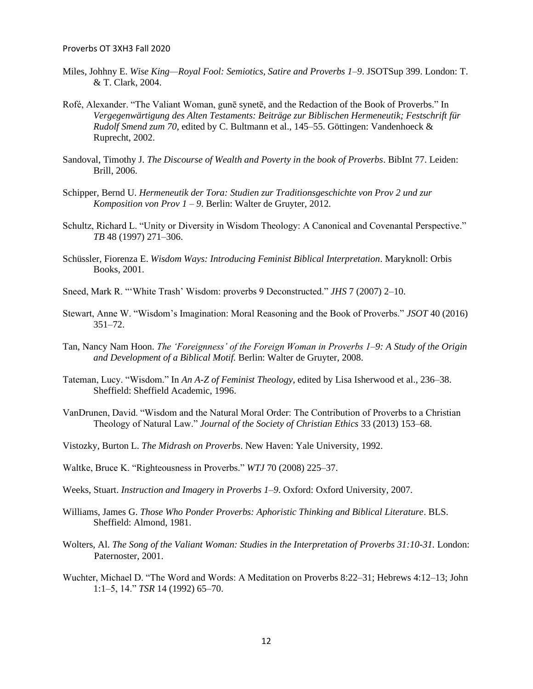- Miles, Johhny E. *Wise King—Royal Fool: Semiotics, Satire and Proverbs 1–9*. JSOTSup 399. London: T. & T. Clark, 2004.
- Rofé, Alexander. "The Valiant Woman, gunē synetē, and the Redaction of the Book of Proverbs." In *Vergegenwärtigung des Alten Testaments: Beiträge zur Biblischen Hermeneutik; Festschrift für Rudolf Smend zum 70*, edited by C. Bultmann et al., 145–55. Göttingen: Vandenhoeck & Ruprecht, 2002.
- Sandoval, Timothy J. *The Discourse of Wealth and Poverty in the book of Proverbs*. BibInt 77. Leiden: Brill, 2006.
- Schipper, Bernd U. *Hermeneutik der Tora: Studien zur Traditionsgeschichte von Prov 2 und zur Komposition von Prov 1 – 9*. Berlin: Walter de Gruyter, 2012.
- Schultz, Richard L. "Unity or Diversity in Wisdom Theology: A Canonical and Covenantal Perspective." *TB* 48 (1997) 271–306.
- Schüssler, Fiorenza E. *Wisdom Ways: Introducing Feminist Biblical Interpretation*. Maryknoll: Orbis Books, 2001.
- Sneed, Mark R. "'White Trash' Wisdom: proverbs 9 Deconstructed." *JHS* 7 (2007) 2–10.
- Stewart, Anne W. "Wisdom's Imagination: Moral Reasoning and the Book of Proverbs." *JSOT* 40 (2016) 351–72.
- Tan, Nancy Nam Hoon. *The 'Foreignness' of the Foreign Woman in Proverbs 1–9: A Study of the Origin and Development of a Biblical Motif.* Berlin: Walter de Gruyter, 2008.
- Tateman, Lucy. "Wisdom." In *An A-Z of Feminist Theology*, edited by Lisa Isherwood et al., 236–38. Sheffield: Sheffield Academic, 1996.
- VanDrunen, David. "Wisdom and the Natural Moral Order: The Contribution of Proverbs to a Christian Theology of Natural Law." *Journal of the Society of Christian Ethics* 33 (2013) 153–68.
- Vistozky, Burton L. *The Midrash on Proverbs*. New Haven: Yale University, 1992.
- Waltke, Bruce K. "Righteousness in Proverbs." *WTJ* 70 (2008) 225–37.
- Weeks, Stuart. *Instruction and Imagery in Proverbs 1–9*. Oxford: Oxford University, 2007.
- Williams, James G. *Those Who Ponder Proverbs: Aphoristic Thinking and Biblical Literature*. BLS. Sheffield: Almond, 1981.
- Wolters, Al. *The Song of the Valiant Woman: Studies in the Interpretation of Proverbs 31:10-31.* London: Paternoster, 2001.
- Wuchter, Michael D. "The Word and Words: A Meditation on Proverbs 8:22–31; Hebrews 4:12–13; John 1:1–5, 14." *TSR* 14 (1992) 65–70.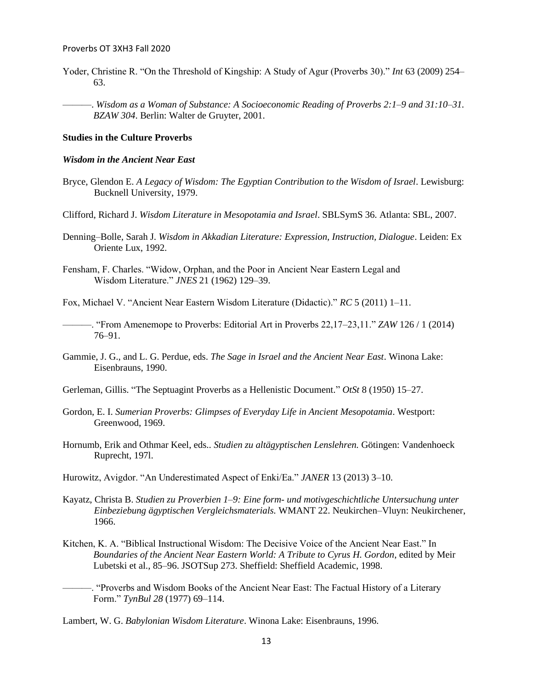Yoder, Christine R. "On the Threshold of Kingship: A Study of Agur (Proverbs 30)." *Int* 63 (2009) 254– 63.

———. *Wisdom as a Woman of Substance: A Socioeconomic Reading of Proverbs 2:1–9 and 31:10–31. BZAW 304*. Berlin: Walter de Gruyter, 2001.

#### **Studies in the Culture Proverbs**

#### *Wisdom in the Ancient Near East*

- Bryce, Glendon E. *A Legacy of Wisdom: The Egyptian Contribution to the Wisdom of Israel*. Lewisburg: Bucknell University, 1979.
- Clifford, Richard J. *Wisdom Literature in Mesopotamia and Israel*. SBLSymS 36. Atlanta: SBL, 2007.
- Denning–Bolle, Sarah J. *Wisdom in Akkadian Literature: Expression, Instruction, Dialogue*. Leiden: Ex Oriente Lux, 1992.
- Fensham, F. Charles. "Widow, Orphan, and the Poor in Ancient Near Eastern Legal and Wisdom Literature." *JNES* 21 (1962) 129–39.

Fox, Michael V. "Ancient Near Eastern Wisdom Literature (Didactic)." *RC* 5 (2011) 1–11.

———. "From Amenemope to Proverbs: Editorial Art in Proverbs 22,17–23,11." *ZAW* 126 / 1 (2014) 76–91.

Gammie, J. G., and L. G. Perdue, eds. *The Sage in Israel and the Ancient Near East*. Winona Lake: Eisenbrauns, 1990.

Gerleman, Gillis. "The Septuagint Proverbs as a Hellenistic Document." *OtSt* 8 (1950) 15–27.

- Gordon, E. I. *Sumerian Proverbs: Glimpses of Everyday Life in Ancient Mesopotamia*. Westport: Greenwood, 1969.
- Hornumb, Erik and Othmar Keel, eds.. *Studien zu altägyptischen Lenslehren.* Götingen: Vandenhoeck Ruprecht, 197l.
- Hurowitz, Avigdor. "An Underestimated Aspect of Enki/Ea." *JANER* 13 (2013) 3–10.
- Kayatz, Christa B. *Studien zu Proverbien 1–9: Eine form- und motivgeschichtliche Untersuchung unter Einbeziebung ägyptischen Vergleichsmaterials.* WMANT 22. Neukirchen–Vluyn: Neukirchener, 1966.
- Kitchen, K. A. "Biblical Instructional Wisdom: The Decisive Voice of the Ancient Near East." In *Boundaries of the Ancient Near Eastern World: A Tribute to Cyrus H. Gordon*, edited by Meir Lubetski et al., 85–96. JSOTSup 273. Sheffield: Sheffield Academic, 1998.
	- ———. "Proverbs and Wisdom Books of the Ancient Near East: The Factual History of a Literary Form." *TynBul 28* (1977) 69–114.

Lambert, W. G. *Babylonian Wisdom Literature*. Winona Lake: Eisenbrauns, 1996.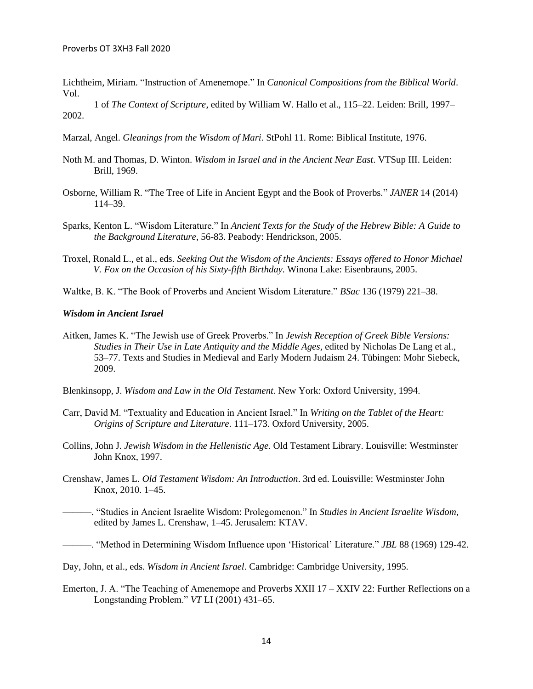Lichtheim, Miriam. "Instruction of Amenemope." In *Canonical Compositions from the Biblical World*. Vol.

1 of *The Context of Scripture*, edited by William W. Hallo et al., 115–22. Leiden: Brill, 1997– 2002.

- Marzal, Angel. *Gleanings from the Wisdom of Mari*. StPohl 11. Rome: Biblical Institute, 1976.
- Noth M. and Thomas, D. Winton. *Wisdom in Israel and in the Ancient Near East*. VTSup III. Leiden: Brill, 1969.
- Osborne, William R. "The Tree of Life in Ancient Egypt and the Book of Proverbs." *JANER* 14 (2014) 114–39.
- Sparks, Kenton L. "Wisdom Literature." In *Ancient Texts for the Study of the Hebrew Bible: A Guide to the Background Literature*, 56-83. Peabody: Hendrickson, 2005.
- Troxel, Ronald L., et al., eds. *Seeking Out the Wisdom of the Ancients: Essays offered to Honor Michael V. Fox on the Occasion of his Sixty-fifth Birthday.* Winona Lake: Eisenbrauns, 2005.
- Waltke, B. K. "The Book of Proverbs and Ancient Wisdom Literature." *BSac* 136 (1979) 221–38.

#### *Wisdom in Ancient Israel*

Aitken, James K. "The Jewish use of Greek Proverbs." In *Jewish Reception of Greek Bible Versions: Studies in Their Use in Late Antiquity and the Middle Ages*, edited by Nicholas De Lang et al., 53–77. Texts and Studies in Medieval and Early Modern Judaism 24. Tübingen: Mohr Siebeck, 2009.

Blenkinsopp, J. *Wisdom and Law in the Old Testament*. New York: Oxford University, 1994.

- Carr, David M. "Textuality and Education in Ancient Israel." In *Writing on the Tablet of the Heart: Origins of Scripture and Literature*. 111–173. Oxford University, 2005.
- Collins, John J. *Jewish Wisdom in the Hellenistic Age.* Old Testament Library. Louisville: Westminster John Knox, 1997.
- Crenshaw, James L. *Old Testament Wisdom: An Introduction*. 3rd ed. Louisville: Westminster John Knox, 2010. 1–45.
	- ———. "Studies in Ancient Israelite Wisdom: Prolegomenon." In *Studies in Ancient Israelite Wisdom*, edited by James L. Crenshaw, 1–45. Jerusalem: KTAV.
- ———. "Method in Determining Wisdom Influence upon 'Historical' Literature." *JBL* 88 (1969) 129-42.

Day, John, et al., eds. *Wisdom in Ancient Israel*. Cambridge: Cambridge University, 1995.

Emerton, J. A. "The Teaching of Amenemope and Proverbs XXII 17 – XXIV 22: Further Reflections on a Longstanding Problem." *VT* LI (2001) 431–65.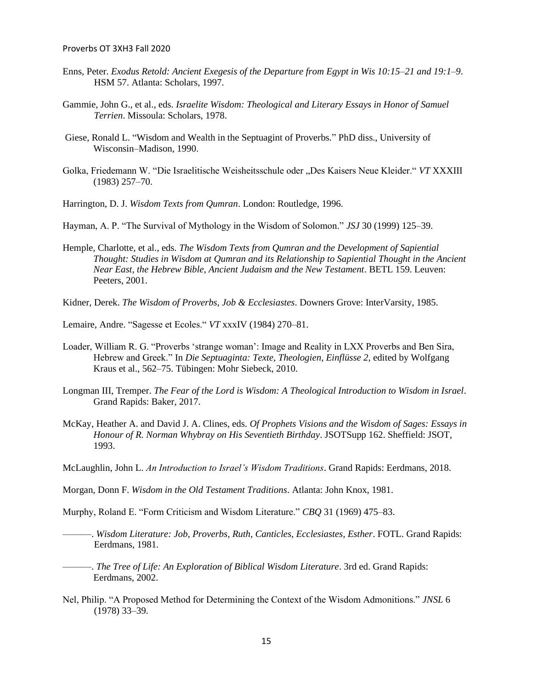- Enns, Peter. *Exodus Retold: Ancient Exegesis of the Departure from Egypt in Wis 10:15–21 and 19:1–9*. HSM 57. Atlanta: Scholars, 1997.
- Gammie, John G., et al., eds. *Israelite Wisdom: Theological and Literary Essays in Honor of Samuel Terrien*. Missoula: Scholars, 1978.
- Giese, Ronald L. "Wisdom and Wealth in the Septuagint of Proverbs." PhD diss., University of Wisconsin–Madison, 1990.
- Golka, Friedemann W. "Die Israelitische Weisheitsschule oder "Des Kaisers Neue Kleider." *VT* XXXIII (1983) 257–70.
- Harrington, D. J. *Wisdom Texts from Qumran*. London: Routledge, 1996.
- Hayman, A. P. "The Survival of Mythology in the Wisdom of Solomon." *JSJ* 30 (1999) 125–39.
- Hemple, Charlotte, et al., eds. *The Wisdom Texts from Qumran and the Development of Sapiential Thought: Studies in Wisdom at Qumran and its Relationship to Sapiential Thought in the Ancient Near East, the Hebrew Bible, Ancient Judaism and the New Testament*. BETL 159. Leuven: Peeters, 2001.
- Kidner, Derek. *The Wisdom of Proverbs, Job & Ecclesiastes*. Downers Grove: InterVarsity, 1985.
- Lemaire, Andre. "Sagesse et Ecoles." *VT* xxxIV (1984) 270–81.
- Loader, William R. G. "Proverbs 'strange woman': Image and Reality in LXX Proverbs and Ben Sira, Hebrew and Greek." In *Die Septuaginta: Texte, Theologien, Einflüsse 2*, edited by Wolfgang Kraus et al., 562–75. Tübingen: Mohr Siebeck, 2010.
- Longman III, Tremper. *The Fear of the Lord is Wisdom: A Theological Introduction to Wisdom in Israel*. Grand Rapids: Baker, 2017.
- McKay, Heather A. and David J. A. Clines, eds. *Of Prophets Visions and the Wisdom of Sages: Essays in Honour of R. Norman Whybray on His Seventieth Birthday*. JSOTSupp 162. Sheffield: JSOT, 1993.
- McLaughlin, John L. *An Introduction to Israel's Wisdom Traditions*. Grand Rapids: Eerdmans, 2018.
- Morgan, Donn F. *Wisdom in the Old Testament Traditions*. Atlanta: John Knox, 1981.
- Murphy, Roland E. "Form Criticism and Wisdom Literature." *CBQ* 31 (1969) 475–83.
- ———. *Wisdom Literature: Job, Proverbs, Ruth, Canticles, Ecclesiastes, Esther*. FOTL. Grand Rapids: Eerdmans, 1981.

———. *The Tree of Life: An Exploration of Biblical Wisdom Literature*. 3rd ed. Grand Rapids: Eerdmans, 2002.

Nel, Philip. "A Proposed Method for Determining the Context of the Wisdom Admonitions." *JNSL* 6 (1978) 33–39.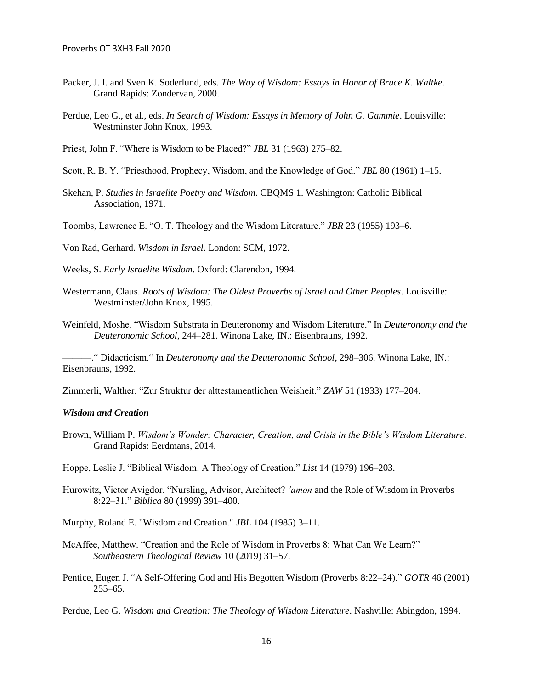- Packer, J. I. and Sven K. Soderlund, eds. *The Way of Wisdom: Essays in Honor of Bruce K. Waltke*. Grand Rapids: Zondervan, 2000.
- Perdue, Leo G., et al., eds. *In Search of Wisdom: Essays in Memory of John G. Gammie*. Louisville: Westminster John Knox, 1993.
- Priest, John F. "Where is Wisdom to be Placed?" *JBL* 31 (1963) 275–82.
- Scott, R. B. Y. "Priesthood, Prophecy, Wisdom, and the Knowledge of God." *JBL* 80 (1961) 1–15.
- Skehan, P. *Studies in Israelite Poetry and Wisdom*. CBQMS 1. Washington: Catholic Biblical Association, 1971.
- Toombs, Lawrence E. "O. T. Theology and the Wisdom Literature." *JBR* 23 (1955) 193–6.

Von Rad, Gerhard. *Wisdom in Israel*. London: SCM, 1972.

- Weeks, S. *Early Israelite Wisdom*. Oxford: Clarendon, 1994.
- Westermann, Claus. *Roots of Wisdom: The Oldest Proverbs of Israel and Other Peoples*. Louisville: Westminster/John Knox, 1995.
- Weinfeld, Moshe. "Wisdom Substrata in Deuteronomy and Wisdom Literature." In *Deuteronomy and the Deuteronomic School*, 244–281. Winona Lake, IN.: Eisenbrauns, 1992.

———." Didacticism." In *Deuteronomy and the Deuteronomic School*, 298–306. Winona Lake, IN.: Eisenbrauns, 1992.

Zimmerli, Walther. "Zur Struktur der alttestamentlichen Weisheit." *ZAW* 51 (1933) 177–204.

#### *Wisdom and Creation*

- Brown, William P. *Wisdom's Wonder: Character, Creation, and Crisis in the Bible's Wisdom Literature*. Grand Rapids: Eerdmans, 2014.
- Hoppe, Leslie J. "Biblical Wisdom: A Theology of Creation." *List* 14 (1979) 196–203.
- Hurowitz, Victor Avigdor. "Nursling, Advisor, Architect? *'amon* and the Role of Wisdom in Proverbs 8:22–31." *Biblica* 80 (1999) 391–400.
- Murphy, Roland E. "Wisdom and Creation." *JBL* 104 (1985) 3–11.
- McAffee, Matthew. "Creation and the Role of Wisdom in Proverbs 8: What Can We Learn?" *Southeastern Theological Review* 10 (2019) 31–57.
- Pentice, Eugen J. "A Self-Offering God and His Begotten Wisdom (Proverbs 8:22–24)." *GOTR* 46 (2001)  $255 - 65$ .

Perdue, Leo G. *Wisdom and Creation: The Theology of Wisdom Literature*. Nashville: Abingdon, 1994.